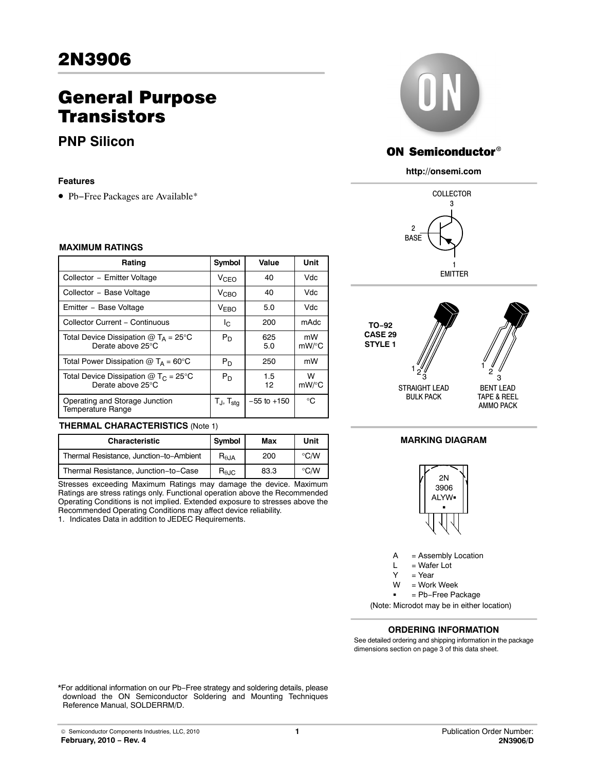# General Purpose **Transistors**

**PNP Silicon**

#### **Features**

• Pb−Free Packages are Available\*

## **MAXIMUM RATINGS**

| Rating                                                            | Symbol                 | Value           | Unit           |
|-------------------------------------------------------------------|------------------------|-----------------|----------------|
| Collector - Emitter Voltage                                       | <b>V<sub>CEO</sub></b> | 40              | Vdc            |
| Collector - Base Voltage                                          | <b>V<sub>CBO</sub></b> | 40              | Vdc.           |
| Emitter - Base Voltage                                            | <b>VEBO</b>            | 5.0             | Vdc            |
| Collector Current - Continuous                                    | Ic.                    | 200             | mAdc           |
| Total Device Dissipation $@T_A = 25^\circ C$<br>Derate above 25°C | $P_D$                  | 625<br>5.0      | mW<br>$mW$ /°C |
| Total Power Dissipation $@T_A = 60^\circ C$                       | $P_D$                  | 250             | mW             |
| Total Device Dissipation $@T_C = 25°C$<br>Derate above 25°C       | $P_D$                  | 1.5<br>12       | W<br>$mW$ /°C  |
| Operating and Storage Junction<br>Temperature Range               | Tj, T <sub>sta</sub>   | $-55$ to $+150$ | °C             |

#### **THERMAL CHARACTERISTICS** (Note 1)

| <b>Characteristic</b>                   | Symbol                 | Max  | Unit           |
|-----------------------------------------|------------------------|------|----------------|
| Thermal Resistance, Junction-to-Ambient | $R_{\theta,IA}$        | 200  | $^{\circ}$ C/W |
| Thermal Resistance, Junction-to-Case    | $R_{\theta \text{JC}}$ | 83.3 | $\degree$ C/W  |

Stresses exceeding Maximum Ratings may damage the device. Maximum Ratings are stress ratings only. Functional operation above the Recommended Operating Conditions is not implied. Extended exposure to stresses above the Recommended Operating Conditions may affect device reliability.

1. Indicates Data in addition to JEDEC Requirements.



# **ON Semiconductor®**

**http://onsemi.com**





## **MARKING DIAGRAM**



 $A =$  Assembly Location<br>  $L =$  Wafer Lot

= Wafer Lot  $V = V_{\text{par}}$ 

= Work Week W

= Pb−Free Package

(Note: Microdot may be in either location)

### **ORDERING INFORMATION**

See detailed ordering and shipping information in the package dimensions section on page [3](#page-2-0) of this data sheet.

\*For additional information on our Pb−Free strategy and soldering details, please download the ON Semiconductor Soldering and Mounting Techniques Reference Manual, SOLDERRM/D.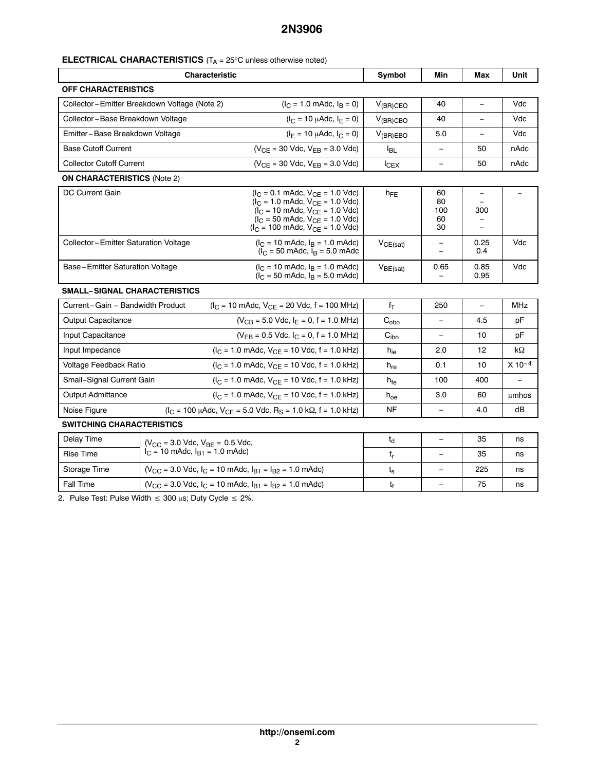## **ELECTRICAL CHARACTERISTICS** (T<sub>A</sub> = 25°C unless otherwise noted)

| <b>Characteristic</b>                |                                                                                   | Symbol                                                                                                                                                                                                                                                                                                 | Min              | Max                                  | Unit                            |             |
|--------------------------------------|-----------------------------------------------------------------------------------|--------------------------------------------------------------------------------------------------------------------------------------------------------------------------------------------------------------------------------------------------------------------------------------------------------|------------------|--------------------------------------|---------------------------------|-------------|
| <b>OFF CHARACTERISTICS</b>           |                                                                                   |                                                                                                                                                                                                                                                                                                        |                  |                                      |                                 |             |
|                                      | Collector-Emitter Breakdown Voltage (Note 2)                                      | $(I_C = 1.0 \text{ m}$ Adc, $I_B = 0$ )                                                                                                                                                                                                                                                                | $V_{(BR)CEO}$    | 40                                   | $\equiv$                        | Vdc         |
| Collector-Base Breakdown Voltage     |                                                                                   | $(I_C = 10 \mu A d c, I_F = 0)$                                                                                                                                                                                                                                                                        | $V_{(BR)CBO}$    | 40                                   |                                 | Vdc         |
| Emitter-Base Breakdown Voltage       |                                                                                   | $(I_F = 10 \mu A d c, I_C = 0)$                                                                                                                                                                                                                                                                        | $V_{(BR)EBO}$    | 5.0                                  |                                 | Vdc         |
| <b>Base Cutoff Current</b>           |                                                                                   | $(V_{CE} = 30$ Vdc, $V_{EB} = 3.0$ Vdc)                                                                                                                                                                                                                                                                | $I_{BL}$         | $\equiv$                             | 50                              | nAdc        |
| <b>Collector Cutoff Current</b>      |                                                                                   | $(V_{CE} = 30$ Vdc, $V_{EB} = 3.0$ Vdc)                                                                                                                                                                                                                                                                | $I_{CEX}$        | $\equiv$                             | 50                              | nAdc        |
| <b>ON CHARACTERISTICS (Note 2)</b>   |                                                                                   |                                                                                                                                                                                                                                                                                                        |                  |                                      |                                 |             |
| <b>DC Current Gain</b>               |                                                                                   | $(I_C = 0.1 \text{ m}$ Adc, $V_{CE} = 1.0 \text{ V}$ dc)<br>$(I_C = 1.0 \text{ m}$ Adc, $V_{CE} = 1.0 \text{ V}$ dc)<br>$(I_C = 10 \text{ m}$ Adc, $V_{CE} = 1.0 \text{ V}$ dc)<br>$(I_C = 50 \text{ m}$ Adc, $V_{CE} = 1.0 \text{ V}$ dc)<br>$(I_C = 100 \text{ m}$ Adc, $V_{CE} = 1.0 \text{ V}$ dc) | $h_{FE}$         | 60<br>80<br>100<br>60<br>30          | $\overline{\phantom{0}}$<br>300 |             |
| Collector-Emitter Saturation Voltage |                                                                                   | $(I_C = 10 \text{ m}$ Adc, $I_B = 1.0 \text{ m}$ Adc)<br>$(I_C = 50 \text{ m}$ Adc, $I_B = 5.0 \text{ m}$ Adc                                                                                                                                                                                          | $V_{CE(sat)}$    | $\overline{\phantom{a}}$<br>$\equiv$ | 0.25<br>0.4                     | Vdc         |
| Base - Emitter Saturation Voltage    |                                                                                   | $(I_C = 10 \text{ m}$ Adc, $I_B = 1.0 \text{ m}$ Adc)<br>$(I_C = 50 \text{ m}$ Adc, $I_B = 5.0 \text{ m}$ Adc)                                                                                                                                                                                         | $V_{BE(sat)}$    | 0.65                                 | 0.85<br>0.95                    | Vdc         |
| <b>SMALL-SIGNAL CHARACTERISTICS</b>  |                                                                                   |                                                                                                                                                                                                                                                                                                        |                  |                                      |                                 |             |
| Current-Gain - Bandwidth Product     |                                                                                   | $(I_C = 10 \text{ m}$ Adc, $V_{CE} = 20 \text{ V}$ dc, f = 100 MHz)                                                                                                                                                                                                                                    | $f_T$            | 250                                  | $\overline{\phantom{a}}$        | <b>MHz</b>  |
| Output Capacitance                   |                                                                                   | $(V_{CB} = 5.0$ Vdc, $I_F = 0$ , $f = 1.0$ MHz)                                                                                                                                                                                                                                                        | $C_{\text{obo}}$ |                                      | 4.5                             | pF          |
| Input Capacitance                    |                                                                                   | $(V_{FB} = 0.5$ Vdc, $I_C = 0$ , f = 1.0 MHz)                                                                                                                                                                                                                                                          | C <sub>ibo</sub> | $\overline{\phantom{a}}$             | 10                              | рF          |
| Input Impedance                      |                                                                                   | $(I_C = 1.0 \text{ m}$ Adc, $V_{CE} = 10 \text{ V}$ dc, f = 1.0 kHz)                                                                                                                                                                                                                                   | $h_{ie}$         | 2.0                                  | 12                              | kΩ          |
| Voltage Feedback Ratio               |                                                                                   | $(I_C = 1.0 \text{ m}$ Adc, $V_{CF} = 10 \text{ V}$ dc, f = 1.0 kHz)                                                                                                                                                                                                                                   | $h_{re}$         | 0.1                                  | 10                              | $X 10^{-4}$ |
| Small-Signal Current Gain            |                                                                                   | $(I_C = 1.0 \text{ m}$ Adc, $V_{CE} = 10 \text{ V}$ dc, f = 1.0 kHz)                                                                                                                                                                                                                                   | h <sub>fe</sub>  | 100                                  | 400                             | $\equiv$    |
| <b>Output Admittance</b>             |                                                                                   | $(I_C = 1.0$ mAdc, $V_{CE} = 10$ Vdc, $f = 1.0$ kHz)                                                                                                                                                                                                                                                   | $h_{oe}$         | 3.0                                  | 60                              | umhos       |
| Noise Figure                         |                                                                                   | $(I_C = 100 \mu A d c, V_{CE} = 5.0 \text{ V} d c, R_S = 1.0 \text{ k}\Omega, f = 1.0 \text{ kHz}$                                                                                                                                                                                                     | NF               | $\equiv$                             | 4.0                             | dB          |
| <b>SWITCHING CHARACTERISTICS</b>     |                                                                                   |                                                                                                                                                                                                                                                                                                        |                  |                                      |                                 |             |
| Delay Time                           | $(V_{CC} = 3.0$ Vdc, $V_{BF} = 0.5$ Vdc,<br>$I_C = 10$ mAdc, $I_{B1} = 1.0$ mAdc) |                                                                                                                                                                                                                                                                                                        | $t_d$            | $\overline{\phantom{0}}$             | 35                              | ns          |
| <b>Rise Time</b>                     |                                                                                   |                                                                                                                                                                                                                                                                                                        | t,               | $\overline{\phantom{0}}$             | 35                              | ns          |
| Storage Time                         |                                                                                   | $(V_{\rm CC} = 3.0$ Vdc, $I_{\rm C} = 10$ mAdc, $I_{\rm B1} = I_{\rm B2} = 1.0$ mAdc)                                                                                                                                                                                                                  | $t_{\tt S}$      | $\overline{\phantom{0}}$             | 225                             | ns          |
| <b>Fall Time</b>                     |                                                                                   | $(V_{CC} = 3.0$ Vdc, $I_C = 10$ mAdc, $I_{B1} = I_{B2} = 1.0$ mAdc)                                                                                                                                                                                                                                    | tf               |                                      | 75                              | ns          |

2. Pulse Test: Pulse Width  $\leq 300$  µs; Duty Cycle  $\leq 2\%$ .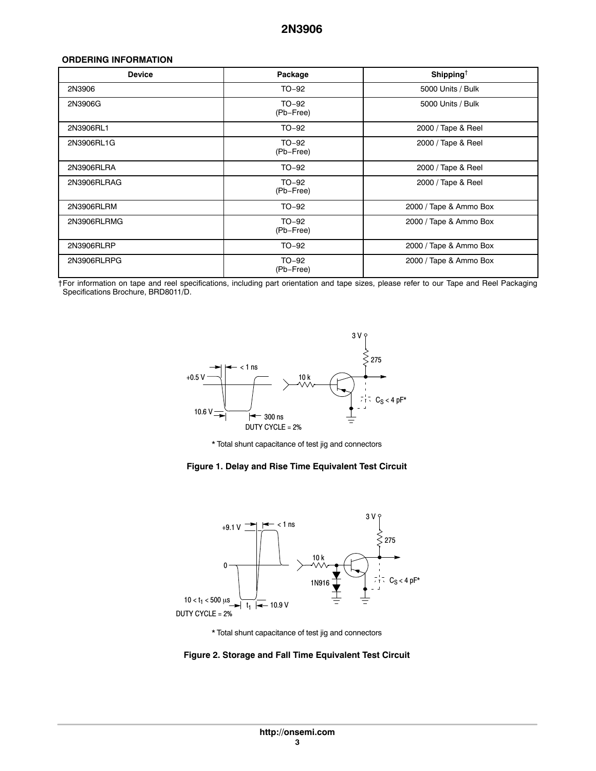### <span id="page-2-0"></span>**ORDERING INFORMATION**

| <b>Device</b> | Package              | Shipping <sup>†</sup>  |
|---------------|----------------------|------------------------|
| 2N3906        | $TO-92$              | 5000 Units / Bulk      |
| 2N3906G       | TO-92<br>(Pb-Free)   | 5000 Units / Bulk      |
| 2N3906RL1     | TO-92                | 2000 / Tape & Reel     |
| 2N3906RL1G    | $TO-92$<br>(Pb-Free) | 2000 / Tape & Reel     |
| 2N3906RLRA    | TO-92                | 2000 / Tape & Reel     |
| 2N3906RLRAG   | $TO-92$<br>(Pb-Free) | 2000 / Tape & Reel     |
| 2N3906RLRM    | TO-92                | 2000 / Tape & Ammo Box |
| 2N3906RLRMG   | TO-92<br>(Pb-Free)   | 2000 / Tape & Ammo Box |
| 2N3906RLRP    | TO-92                | 2000 / Tape & Ammo Box |
| 2N3906RLRPG   | $TO-92$<br>(Pb-Free) | 2000 / Tape & Ammo Box |

†For information on tape and reel specifications, including part orientation and tape sizes, please refer to our Tape and Reel Packaging Specifications Brochure, BRD8011/D.



\* Total shunt capacitance of test jig and connectors

#### **Figure 1. Delay and Rise Time Equivalent Test Circuit**



\* Total shunt capacitance of test jig and connectors

**Figure 2. Storage and Fall Time Equivalent Test Circuit**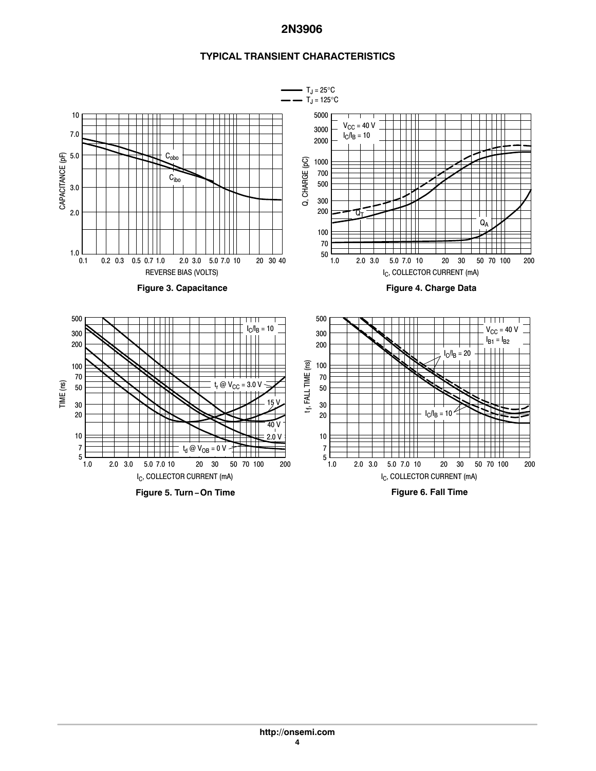## **TYPICAL TRANSIENT CHARACTERISTICS**

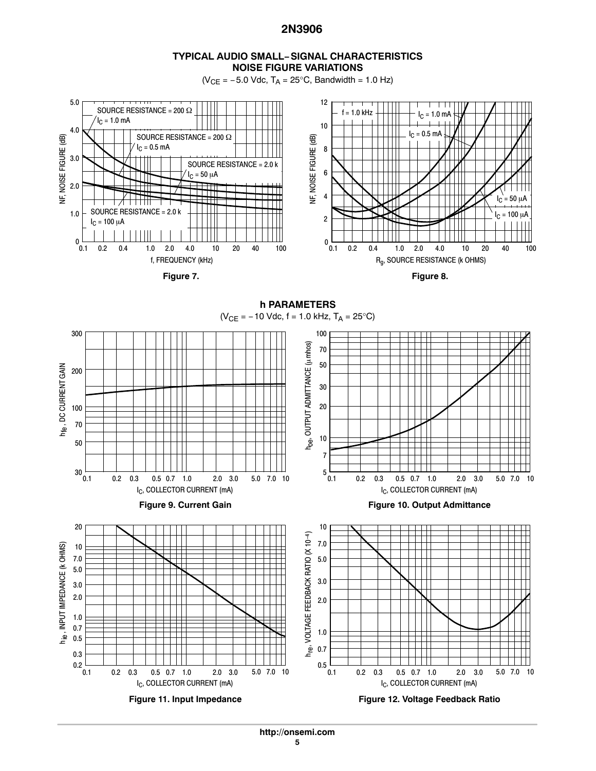## **TYPICAL AUDIO SMALL−SIGNAL CHARACTERISTICS NOISE FIGURE VARIATIONS**

 $(V_{CE} = -5.0$  Vdc,  $T_A = 25$ °C, Bandwidth = 1.0 Hz)



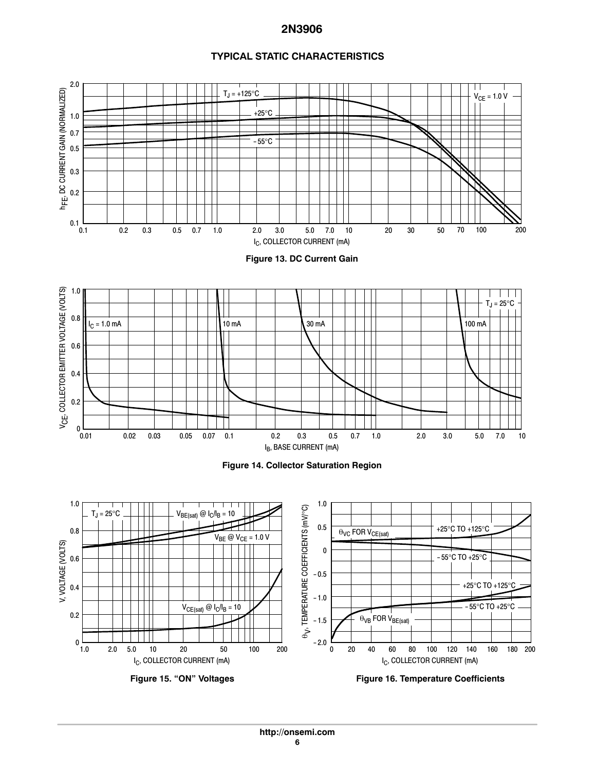## **TYPICAL STATIC CHARACTERISTICS**